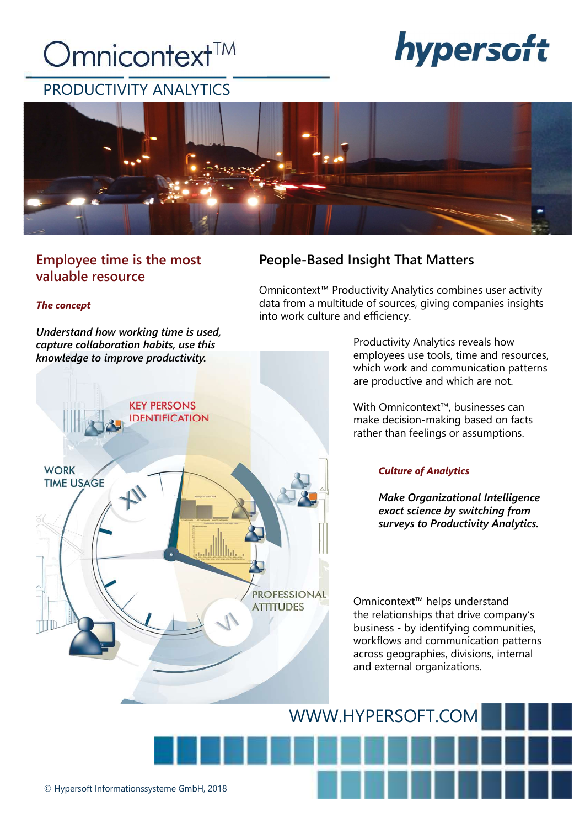### Omnicontext<sup>™</sup>

# hypersoft



### Employee time is the most valuable resource

### The concept

Understand how working time is used, capture collaboration habits, use this knowledge to improve productivity.



### People-Based Insight That Matters

Omnicontext™ Productivity Analytics combines user activity data from a multitude of sources, giving companies insights into work culture and efficiency.

> Productivity Analytics reveals how employees use tools, time and resources, which work and communication patterns are productive and which are not.

With Omnicontext™, businesses can make decision-making based on facts rather than feelings or assumptions.

### Culture of Analytics

Make Organizational Intelligence exact science by switching from surveys to Productivity Analytics.

Omnicontext™ helps understand the relationships that drive company's business - by identifying communities, workflows and communication patterns across geographies, divisions, internal and external organizations.